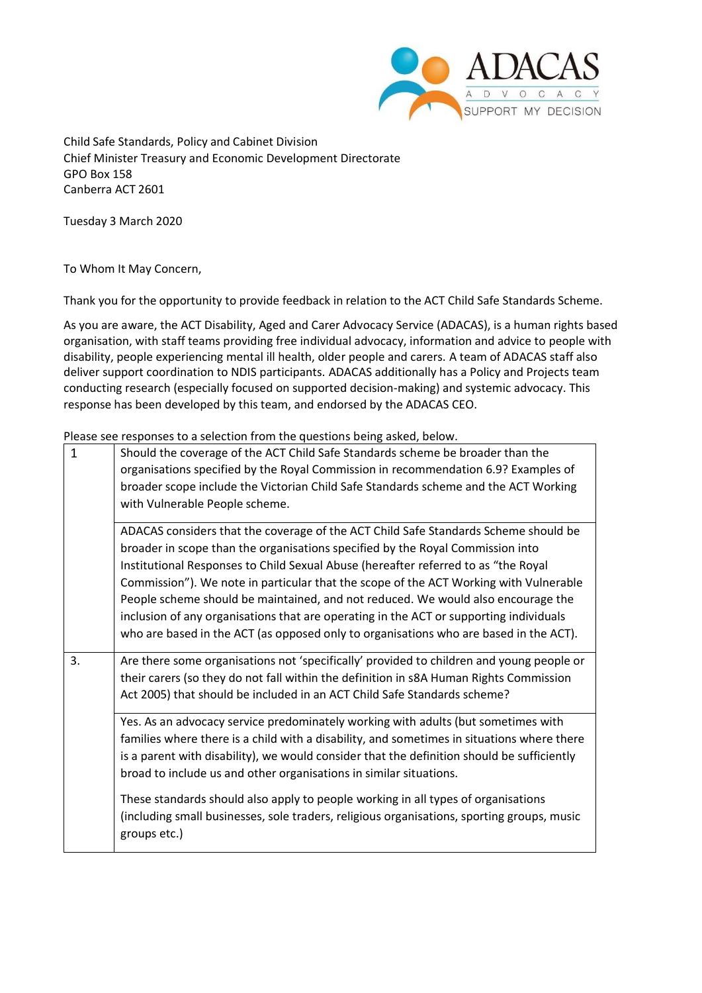

Child Safe Standards, Policy and Cabinet Division Chief Minister Treasury and Economic Development Directorate GPO Box 158 Canberra ACT 2601

Tuesday 3 March 2020

To Whom It May Concern,

Thank you for the opportunity to provide feedback in relation to the ACT Child Safe Standards Scheme.

As you are aware, the ACT Disability, Aged and Carer Advocacy Service (ADACAS), is a human rights based organisation, with staff teams providing free individual advocacy, information and advice to people with disability, people experiencing mental ill health, older people and carers. A team of ADACAS staff also deliver support coordination to NDIS participants. ADACAS additionally has a Policy and Projects team conducting research (especially focused on supported decision-making) and systemic advocacy. This response has been developed by this team, and endorsed by the ADACAS CEO.

Please see responses to a selection from the questions being asked, below.

| $\mathbf{1}$ | Should the coverage of the ACT Child Safe Standards scheme be broader than the<br>organisations specified by the Royal Commission in recommendation 6.9? Examples of<br>broader scope include the Victorian Child Safe Standards scheme and the ACT Working<br>with Vulnerable People scheme.                                                                                                                                                                                                                                                                                                                               |
|--------------|-----------------------------------------------------------------------------------------------------------------------------------------------------------------------------------------------------------------------------------------------------------------------------------------------------------------------------------------------------------------------------------------------------------------------------------------------------------------------------------------------------------------------------------------------------------------------------------------------------------------------------|
|              | ADACAS considers that the coverage of the ACT Child Safe Standards Scheme should be<br>broader in scope than the organisations specified by the Royal Commission into<br>Institutional Responses to Child Sexual Abuse (hereafter referred to as "the Royal<br>Commission"). We note in particular that the scope of the ACT Working with Vulnerable<br>People scheme should be maintained, and not reduced. We would also encourage the<br>inclusion of any organisations that are operating in the ACT or supporting individuals<br>who are based in the ACT (as opposed only to organisations who are based in the ACT). |
| 3.           | Are there some organisations not 'specifically' provided to children and young people or<br>their carers (so they do not fall within the definition in s8A Human Rights Commission<br>Act 2005) that should be included in an ACT Child Safe Standards scheme?                                                                                                                                                                                                                                                                                                                                                              |
|              | Yes. As an advocacy service predominately working with adults (but sometimes with<br>families where there is a child with a disability, and sometimes in situations where there<br>is a parent with disability), we would consider that the definition should be sufficiently<br>broad to include us and other organisations in similar situations.                                                                                                                                                                                                                                                                         |
|              | These standards should also apply to people working in all types of organisations<br>(including small businesses, sole traders, religious organisations, sporting groups, music<br>groups etc.)                                                                                                                                                                                                                                                                                                                                                                                                                             |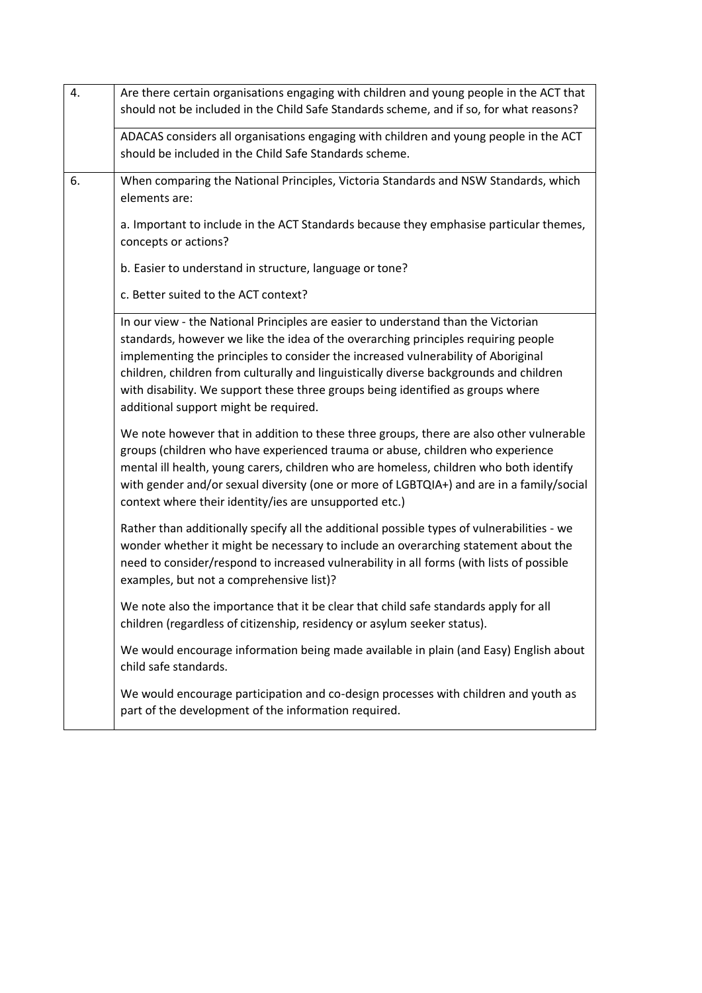| 4. | Are there certain organisations engaging with children and young people in the ACT that<br>should not be included in the Child Safe Standards scheme, and if so, for what reasons?                                                                                                                                                                                                                                                                                                 |
|----|------------------------------------------------------------------------------------------------------------------------------------------------------------------------------------------------------------------------------------------------------------------------------------------------------------------------------------------------------------------------------------------------------------------------------------------------------------------------------------|
|    | ADACAS considers all organisations engaging with children and young people in the ACT<br>should be included in the Child Safe Standards scheme.                                                                                                                                                                                                                                                                                                                                    |
| 6. | When comparing the National Principles, Victoria Standards and NSW Standards, which<br>elements are:                                                                                                                                                                                                                                                                                                                                                                               |
|    | a. Important to include in the ACT Standards because they emphasise particular themes,<br>concepts or actions?                                                                                                                                                                                                                                                                                                                                                                     |
|    | b. Easier to understand in structure, language or tone?                                                                                                                                                                                                                                                                                                                                                                                                                            |
|    | c. Better suited to the ACT context?                                                                                                                                                                                                                                                                                                                                                                                                                                               |
|    | In our view - the National Principles are easier to understand than the Victorian<br>standards, however we like the idea of the overarching principles requiring people<br>implementing the principles to consider the increased vulnerability of Aboriginal<br>children, children from culturally and linguistically diverse backgrounds and children<br>with disability. We support these three groups being identified as groups where<br>additional support might be required. |
|    | We note however that in addition to these three groups, there are also other vulnerable<br>groups (children who have experienced trauma or abuse, children who experience<br>mental ill health, young carers, children who are homeless, children who both identify<br>with gender and/or sexual diversity (one or more of LGBTQIA+) and are in a family/social<br>context where their identity/ies are unsupported etc.)                                                          |
|    | Rather than additionally specify all the additional possible types of vulnerabilities - we<br>wonder whether it might be necessary to include an overarching statement about the<br>need to consider/respond to increased vulnerability in all forms (with lists of possible<br>examples, but not a comprehensive list)?                                                                                                                                                           |
|    | We note also the importance that it be clear that child safe standards apply for all<br>children (regardless of citizenship, residency or asylum seeker status).                                                                                                                                                                                                                                                                                                                   |
|    | We would encourage information being made available in plain (and Easy) English about<br>child safe standards.                                                                                                                                                                                                                                                                                                                                                                     |
|    | We would encourage participation and co-design processes with children and youth as<br>part of the development of the information required.                                                                                                                                                                                                                                                                                                                                        |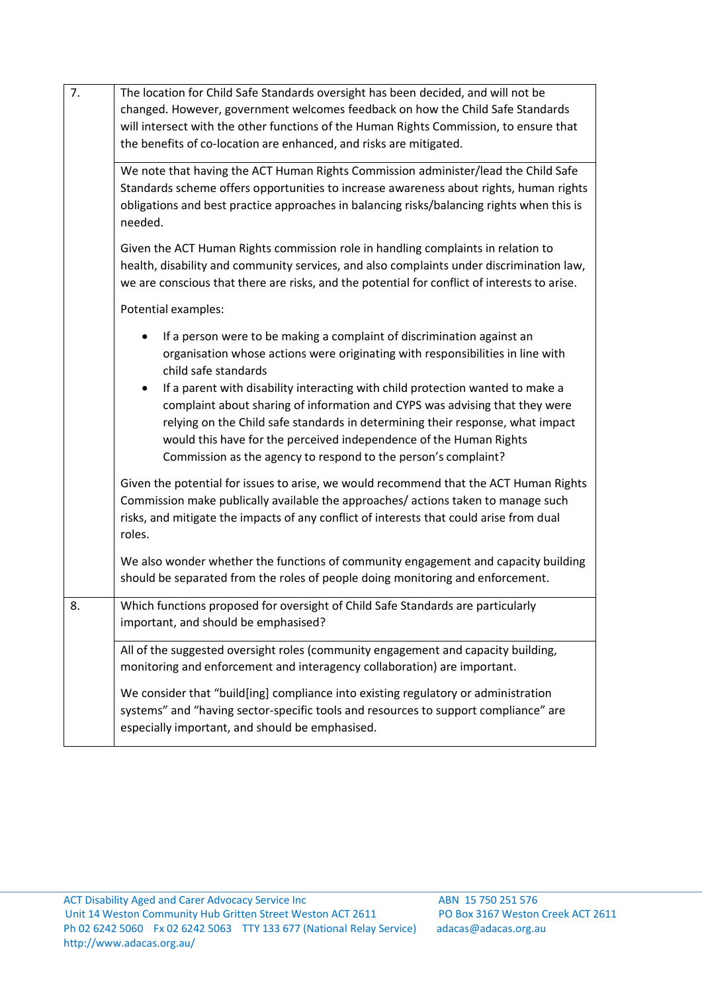| 7. | The location for Child Safe Standards oversight has been decided, and will not be<br>changed. However, government welcomes feedback on how the Child Safe Standards<br>will intersect with the other functions of the Human Rights Commission, to ensure that<br>the benefits of co-location are enhanced, and risks are mitigated.                                                                  |
|----|------------------------------------------------------------------------------------------------------------------------------------------------------------------------------------------------------------------------------------------------------------------------------------------------------------------------------------------------------------------------------------------------------|
|    | We note that having the ACT Human Rights Commission administer/lead the Child Safe<br>Standards scheme offers opportunities to increase awareness about rights, human rights<br>obligations and best practice approaches in balancing risks/balancing rights when this is<br>needed.                                                                                                                 |
|    | Given the ACT Human Rights commission role in handling complaints in relation to<br>health, disability and community services, and also complaints under discrimination law,<br>we are conscious that there are risks, and the potential for conflict of interests to arise.                                                                                                                         |
|    | Potential examples:                                                                                                                                                                                                                                                                                                                                                                                  |
|    | If a person were to be making a complaint of discrimination against an<br>organisation whose actions were originating with responsibilities in line with<br>child safe standards                                                                                                                                                                                                                     |
|    | If a parent with disability interacting with child protection wanted to make a<br>$\bullet$<br>complaint about sharing of information and CYPS was advising that they were<br>relying on the Child safe standards in determining their response, what impact<br>would this have for the perceived independence of the Human Rights<br>Commission as the agency to respond to the person's complaint? |
|    | Given the potential for issues to arise, we would recommend that the ACT Human Rights<br>Commission make publically available the approaches/ actions taken to manage such<br>risks, and mitigate the impacts of any conflict of interests that could arise from dual<br>roles.                                                                                                                      |
|    | We also wonder whether the functions of community engagement and capacity building<br>should be separated from the roles of people doing monitoring and enforcement.                                                                                                                                                                                                                                 |
| 8. | Which functions proposed for oversight of Child Safe Standards are particularly<br>important, and should be emphasised?                                                                                                                                                                                                                                                                              |
|    | All of the suggested oversight roles (community engagement and capacity building,<br>monitoring and enforcement and interagency collaboration) are important.                                                                                                                                                                                                                                        |
|    | We consider that "build[ing] compliance into existing regulatory or administration<br>systems" and "having sector-specific tools and resources to support compliance" are<br>especially important, and should be emphasised.                                                                                                                                                                         |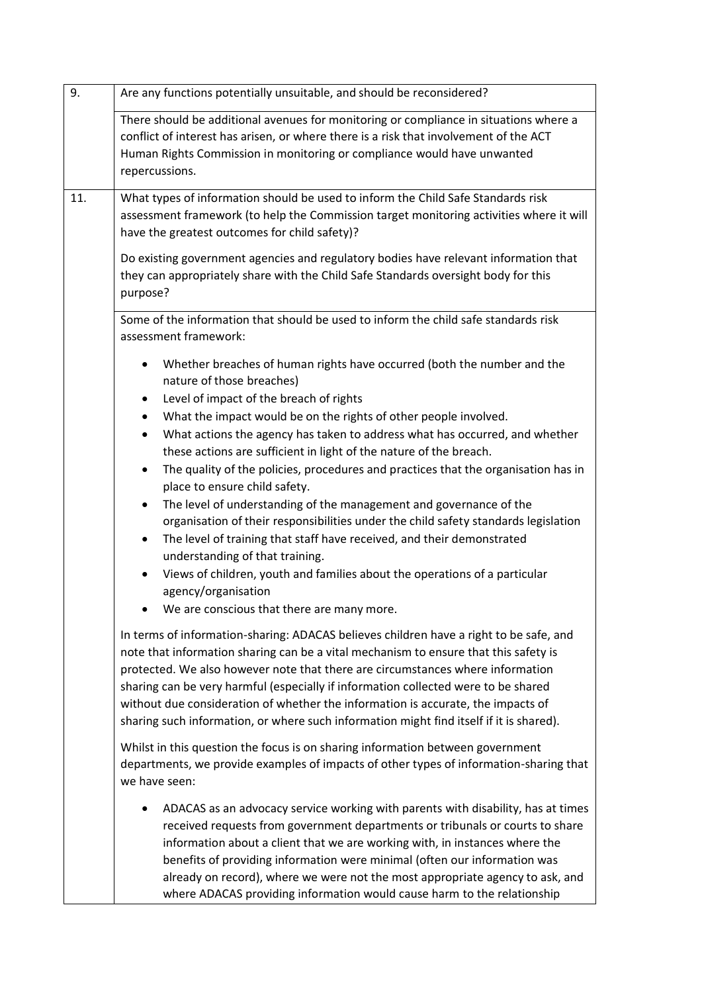| 9.  | Are any functions potentially unsuitable, and should be reconsidered?                                                                                                                                                                                                                                                                                                                                                                                                                                                                                                                                                                                                                                                                                                                                                                                                                                                                                                                                        |
|-----|--------------------------------------------------------------------------------------------------------------------------------------------------------------------------------------------------------------------------------------------------------------------------------------------------------------------------------------------------------------------------------------------------------------------------------------------------------------------------------------------------------------------------------------------------------------------------------------------------------------------------------------------------------------------------------------------------------------------------------------------------------------------------------------------------------------------------------------------------------------------------------------------------------------------------------------------------------------------------------------------------------------|
|     | There should be additional avenues for monitoring or compliance in situations where a<br>conflict of interest has arisen, or where there is a risk that involvement of the ACT<br>Human Rights Commission in monitoring or compliance would have unwanted<br>repercussions.                                                                                                                                                                                                                                                                                                                                                                                                                                                                                                                                                                                                                                                                                                                                  |
| 11. | What types of information should be used to inform the Child Safe Standards risk<br>assessment framework (to help the Commission target monitoring activities where it will<br>have the greatest outcomes for child safety)?<br>Do existing government agencies and regulatory bodies have relevant information that<br>they can appropriately share with the Child Safe Standards oversight body for this<br>purpose?                                                                                                                                                                                                                                                                                                                                                                                                                                                                                                                                                                                       |
|     | Some of the information that should be used to inform the child safe standards risk<br>assessment framework:                                                                                                                                                                                                                                                                                                                                                                                                                                                                                                                                                                                                                                                                                                                                                                                                                                                                                                 |
|     | Whether breaches of human rights have occurred (both the number and the<br>٠<br>nature of those breaches)<br>Level of impact of the breach of rights<br>٠<br>What the impact would be on the rights of other people involved.<br>$\bullet$<br>What actions the agency has taken to address what has occurred, and whether<br>$\bullet$<br>these actions are sufficient in light of the nature of the breach.<br>The quality of the policies, procedures and practices that the organisation has in<br>$\bullet$<br>place to ensure child safety.<br>The level of understanding of the management and governance of the<br>$\bullet$<br>organisation of their responsibilities under the child safety standards legislation<br>The level of training that staff have received, and their demonstrated<br>٠<br>understanding of that training.<br>Views of children, youth and families about the operations of a particular<br>$\bullet$<br>agency/organisation<br>We are conscious that there are many more. |
|     | In terms of information-sharing: ADACAS believes children have a right to be safe, and<br>note that information sharing can be a vital mechanism to ensure that this safety is<br>protected. We also however note that there are circumstances where information<br>sharing can be very harmful (especially if information collected were to be shared<br>without due consideration of whether the information is accurate, the impacts of<br>sharing such information, or where such information might find itself if it is shared).<br>Whilst in this question the focus is on sharing information between government<br>departments, we provide examples of impacts of other types of information-sharing that<br>we have seen:                                                                                                                                                                                                                                                                           |
|     | ADACAS as an advocacy service working with parents with disability, has at times<br>٠<br>received requests from government departments or tribunals or courts to share<br>information about a client that we are working with, in instances where the<br>benefits of providing information were minimal (often our information was<br>already on record), where we were not the most appropriate agency to ask, and<br>where ADACAS providing information would cause harm to the relationship                                                                                                                                                                                                                                                                                                                                                                                                                                                                                                               |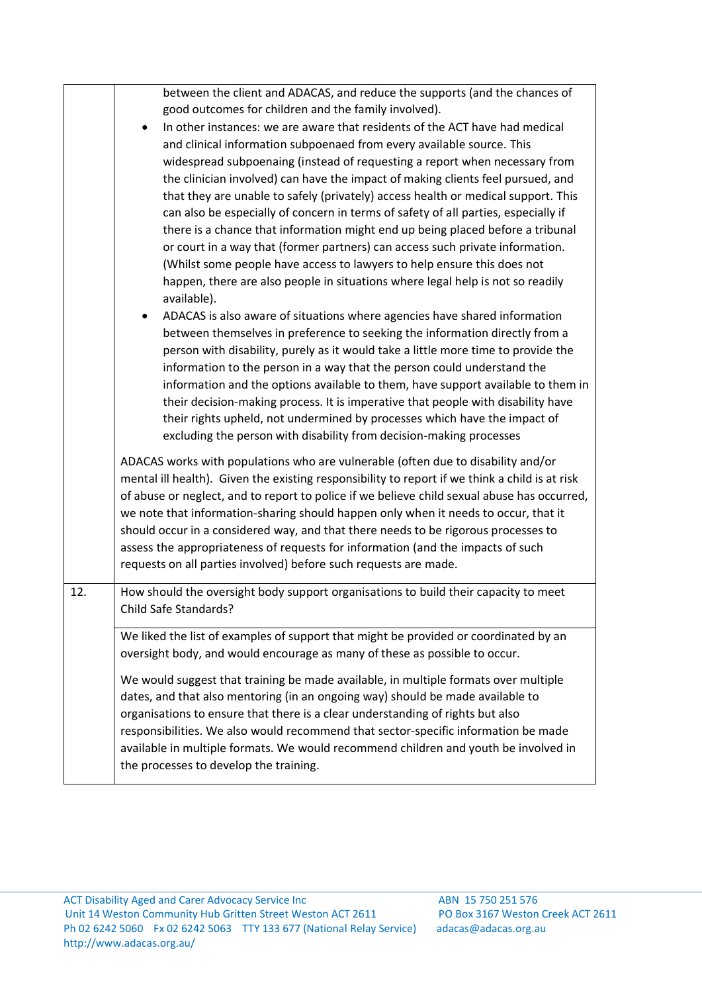|     | between the client and ADACAS, and reduce the supports (and the chances of                                                                                         |
|-----|--------------------------------------------------------------------------------------------------------------------------------------------------------------------|
|     | good outcomes for children and the family involved).                                                                                                               |
|     | In other instances: we are aware that residents of the ACT have had medical<br>$\bullet$                                                                           |
|     | and clinical information subpoenaed from every available source. This                                                                                              |
|     | widespread subpoenaing (instead of requesting a report when necessary from                                                                                         |
|     | the clinician involved) can have the impact of making clients feel pursued, and                                                                                    |
|     | that they are unable to safely (privately) access health or medical support. This                                                                                  |
|     | can also be especially of concern in terms of safety of all parties, especially if                                                                                 |
|     | there is a chance that information might end up being placed before a tribunal                                                                                     |
|     | or court in a way that (former partners) can access such private information.                                                                                      |
|     | (Whilst some people have access to lawyers to help ensure this does not                                                                                            |
|     | happen, there are also people in situations where legal help is not so readily                                                                                     |
|     | available).                                                                                                                                                        |
|     | ADACAS is also aware of situations where agencies have shared information                                                                                          |
|     | between themselves in preference to seeking the information directly from a                                                                                        |
|     | person with disability, purely as it would take a little more time to provide the                                                                                  |
|     | information to the person in a way that the person could understand the                                                                                            |
|     | information and the options available to them, have support available to them in                                                                                   |
|     | their decision-making process. It is imperative that people with disability have                                                                                   |
|     | their rights upheld, not undermined by processes which have the impact of                                                                                          |
|     | excluding the person with disability from decision-making processes                                                                                                |
|     | ADACAS works with populations who are vulnerable (often due to disability and/or                                                                                   |
|     | mental ill health). Given the existing responsibility to report if we think a child is at risk                                                                     |
|     | of abuse or neglect, and to report to police if we believe child sexual abuse has occurred,                                                                        |
|     | we note that information-sharing should happen only when it needs to occur, that it                                                                                |
|     | should occur in a considered way, and that there needs to be rigorous processes to                                                                                 |
|     | assess the appropriateness of requests for information (and the impacts of such                                                                                    |
|     | requests on all parties involved) before such requests are made.                                                                                                   |
| 12. | How should the oversight body support organisations to build their capacity to meet                                                                                |
|     | Child Safe Standards?                                                                                                                                              |
|     |                                                                                                                                                                    |
|     | We liked the list of examples of support that might be provided or coordinated by an<br>oversight body, and would encourage as many of these as possible to occur. |
|     |                                                                                                                                                                    |
|     | We would suggest that training be made available, in multiple formats over multiple                                                                                |
|     | dates, and that also mentoring (in an ongoing way) should be made available to                                                                                     |
|     | organisations to ensure that there is a clear understanding of rights but also                                                                                     |
|     | responsibilities. We also would recommend that sector-specific information be made                                                                                 |
|     | available in multiple formats. We would recommend children and youth be involved in                                                                                |
|     | the processes to develop the training.                                                                                                                             |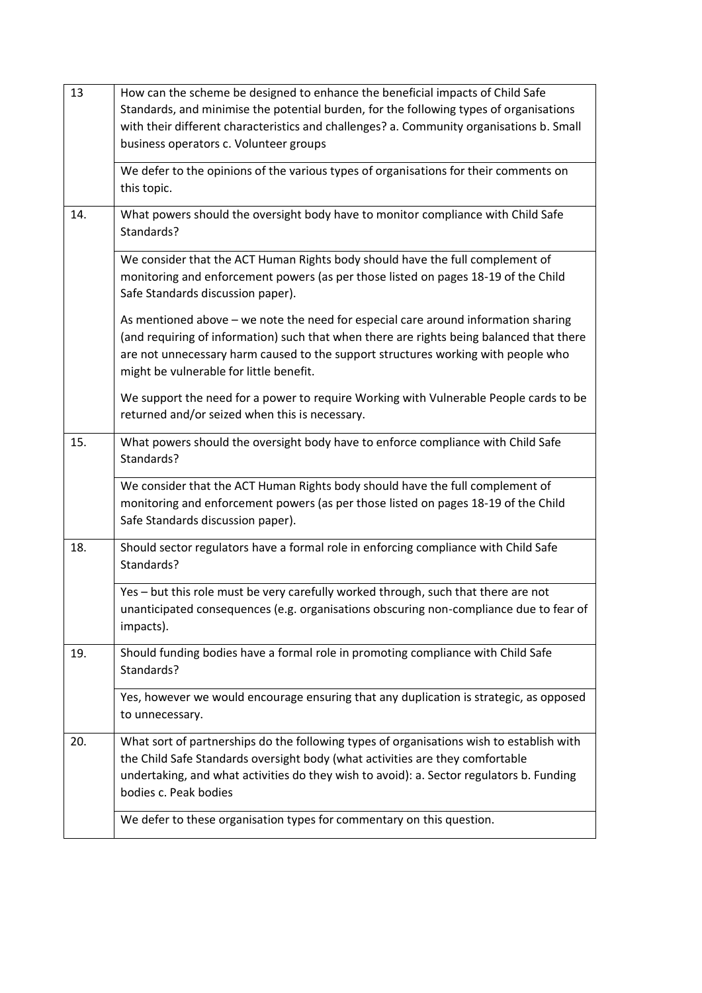| 13  | How can the scheme be designed to enhance the beneficial impacts of Child Safe<br>Standards, and minimise the potential burden, for the following types of organisations<br>with their different characteristics and challenges? a. Community organisations b. Small                                           |
|-----|----------------------------------------------------------------------------------------------------------------------------------------------------------------------------------------------------------------------------------------------------------------------------------------------------------------|
|     | business operators c. Volunteer groups                                                                                                                                                                                                                                                                         |
|     | We defer to the opinions of the various types of organisations for their comments on<br>this topic.                                                                                                                                                                                                            |
| 14. | What powers should the oversight body have to monitor compliance with Child Safe<br>Standards?                                                                                                                                                                                                                 |
|     | We consider that the ACT Human Rights body should have the full complement of<br>monitoring and enforcement powers (as per those listed on pages 18-19 of the Child<br>Safe Standards discussion paper).                                                                                                       |
|     | As mentioned above - we note the need for especial care around information sharing<br>(and requiring of information) such that when there are rights being balanced that there<br>are not unnecessary harm caused to the support structures working with people who<br>might be vulnerable for little benefit. |
|     | We support the need for a power to require Working with Vulnerable People cards to be<br>returned and/or seized when this is necessary.                                                                                                                                                                        |
| 15. | What powers should the oversight body have to enforce compliance with Child Safe<br>Standards?                                                                                                                                                                                                                 |
|     | We consider that the ACT Human Rights body should have the full complement of<br>monitoring and enforcement powers (as per those listed on pages 18-19 of the Child<br>Safe Standards discussion paper).                                                                                                       |
| 18. | Should sector regulators have a formal role in enforcing compliance with Child Safe<br>Standards?                                                                                                                                                                                                              |
|     | Yes - but this role must be very carefully worked through, such that there are not<br>unanticipated consequences (e.g. organisations obscuring non-compliance due to fear of<br>impacts).                                                                                                                      |
| 19. | Should funding bodies have a formal role in promoting compliance with Child Safe<br>Standards?                                                                                                                                                                                                                 |
|     | Yes, however we would encourage ensuring that any duplication is strategic, as opposed<br>to unnecessary.                                                                                                                                                                                                      |
| 20. | What sort of partnerships do the following types of organisations wish to establish with<br>the Child Safe Standards oversight body (what activities are they comfortable<br>undertaking, and what activities do they wish to avoid): a. Sector regulators b. Funding<br>bodies c. Peak bodies                 |
|     | We defer to these organisation types for commentary on this question.                                                                                                                                                                                                                                          |